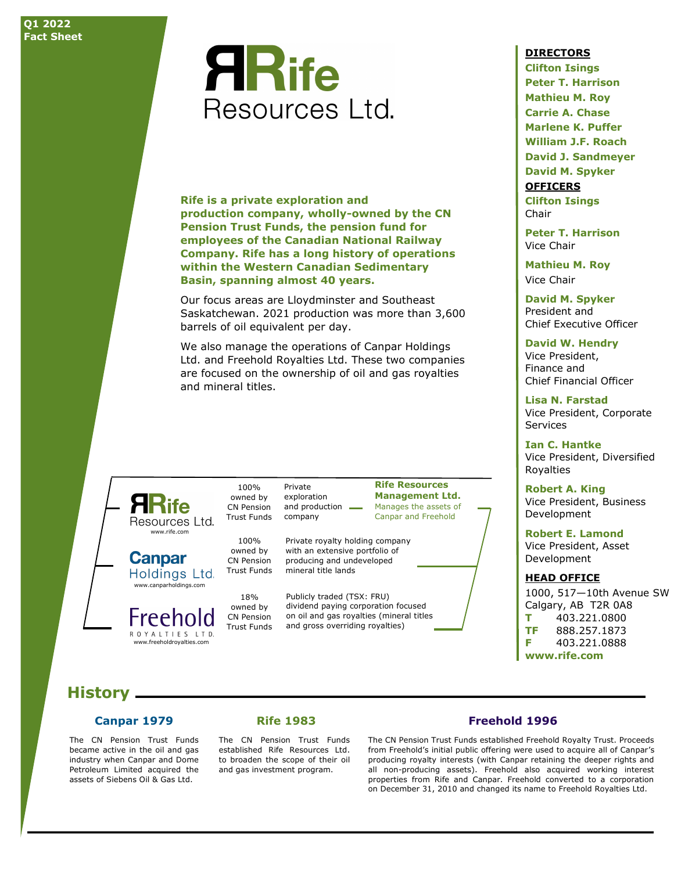# **ARife** Resources Ltd.

**Rife is a private exploration and production company, wholly-owned by the CN Pension Trust Funds, the pension fund for employees of the Canadian National Railway Company. Rife has a long history of operations within the Western Canadian Sedimentary Basin, spanning almost 40 years.**

Our focus areas are Lloydminster and Southeast Saskatchewan. 2021 production was more than 3,600 barrels of oil equivalent per day.

We also manage the operations of Canpar Holdings Ltd. and Freehold Royalties Ltd. These two companies are focused on the ownership of oil and gas royalties and mineral titles.



**Canpar** Holdings Ltd. www.canparholdings.com

owned by Freehold CN Pension Trust Funds ROYALTIES LTD. www.freeholdroyalties.com

owned by CN Pension Trust Funds Private exploration and production  $\equiv$ company

100%

100% owned by CN Pension Trust Funds

18%

**Rife Resources Management Ltd.** Manages the assets of Canpar and Freehold

Private royalty holding company with an extensive portfolio of producing and undeveloped mineral title lands

Publicly traded (TSX: FRU) dividend paying corporation focused on oil and gas royalties (mineral titles and gross overriding royalties)

#### **DIRECTORS**

**Clifton Isings Peter T. Harrison Mathieu M. Roy Carrie A. Chase Marlene K. Puffer William J.F. Roach David J. Sandmeyer David M. Spyker OFFICERS Clifton Isings** Chair

**Peter T. Harrison** Vice Chair

**Mathieu M. Roy** Vice Chair

**David M. Spyker** President and Chief Executive Officer

**David W. Hendry** Vice President, Finance and Chief Financial Officer

**Lisa N. Farstad** Vice President, Corporate Services

**Ian C. Hantke** Vice President, Diversified Royalties

**Robert A. King** Vice President, Business Development

**Robert E. Lamond**

Vice President, Asset Development

#### **HEAD OFFICE**

1000, 517—10th Avenue SW Calgary, AB T2R 0A8 **T** 403.221.0800 **TF** 888.257.1873 **F** 403.221.0888 **www.rife.com**

#### **History**

#### **Canpar 1979**

The CN Pension Trust Funds became active in the oil and gas industry when Canpar and Dome Petroleum Limited acquired the assets of Siebens Oil & Gas Ltd.

#### **Rife 1983**

The CN Pension Trust Funds established Rife Resources Ltd. to broaden the scope of their oil and gas investment program.

#### **Freehold 1996**

The CN Pension Trust Funds established Freehold Royalty Trust. Proceeds from Freehold's initial public offering were used to acquire all of Canpar's producing royalty interests (with Canpar retaining the deeper rights and all non-producing assets). Freehold also acquired working interest properties from Rife and Canpar. Freehold converted to a corporation on December 31, 2010 and changed its name to Freehold Royalties Ltd.